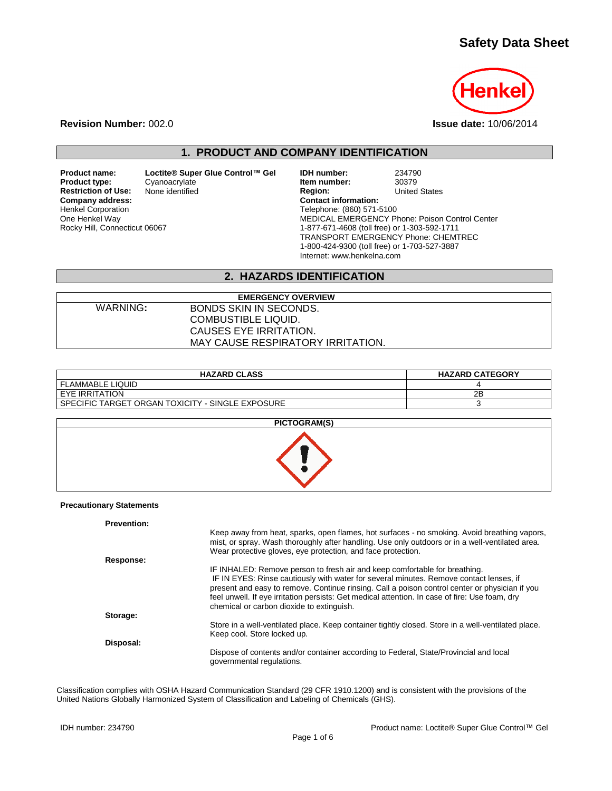## **Safety Data Sheet**



**Revision Number:** 002.0 **Issue date:** 10/06/2014

## **1. PRODUCT AND COMPANY IDENTIFICATION**

**Restriction of Use:**<br>Company address: Henkel Corporation One Henkel Way Rocky Hill, Connecticut 06067

**Product name: Loctite® Super Glue Control™ Gel IDH number:** 234790

**Product type:** Cyanoacrylate **Item number:** 30379<br> **Product August 2020**<br> **Product August 2020**<br> **Product August 2020**<br> **Product August 2020**<br> **Product August 2020**<br> **Product August 2020 Company address: Contact information:** Telephone: (860) 571-5100 MEDICAL EMERGENCY Phone: Poison Control Center 1-877-671-4608 (toll free) or 1-303-592-1711 TRANSPORT EMERGENCY Phone: CHEMTREC 1-800-424-9300 (toll free) or 1-703-527-3887 Internet: www.henkelna.com

### **2. HAZARDS IDENTIFICATION**

| <b>EMERGENCY OVERVIEW</b> |                                   |  |
|---------------------------|-----------------------------------|--|
| WARNING:                  | BONDS SKIN IN SECONDS.            |  |
|                           | <b>COMBUSTIBLE LIQUID.</b>        |  |
|                           | CAUSES EYE IRRITATION.            |  |
|                           | MAY CAUSE RESPIRATORY IRRITATION. |  |

| <b>HAZARD CLASS</b>                                | <b>HAZARD CATEGORY</b> |
|----------------------------------------------------|------------------------|
| I FLAMMABLE LIQUID                                 |                        |
| I EYE IRRITATION                                   | 2Β                     |
| I SPECIFIC TARGET ORGAN TOXICITY - SINGLE EXPOSURE |                        |

| <b>PICTOGRAM(S)</b> |
|---------------------|
|                     |

#### **Precautionary Statements**

| <b>Prevention:</b> |                                                                                                                                                                                                                                               |
|--------------------|-----------------------------------------------------------------------------------------------------------------------------------------------------------------------------------------------------------------------------------------------|
|                    | Keep away from heat, sparks, open flames, hot surfaces - no smoking. Avoid breathing vapors,                                                                                                                                                  |
|                    | mist, or spray. Wash thoroughly after handling. Use only outdoors or in a well-ventilated area.                                                                                                                                               |
|                    | Wear protective gloves, eve protection, and face protection.                                                                                                                                                                                  |
| Response:          |                                                                                                                                                                                                                                               |
|                    | IF INHALED: Remove person to fresh air and keep comfortable for breathing.<br>IF IN EYES: Rinse cautiously with water for several minutes. Remove contact lenses, if                                                                          |
|                    | present and easy to remove. Continue rinsing. Call a poison control center or physician if you<br>feel unwell. If eye irritation persists: Get medical attention. In case of fire: Use foam, dry<br>chemical or carbon dioxide to extinguish. |
|                    |                                                                                                                                                                                                                                               |
| Storage:           |                                                                                                                                                                                                                                               |
|                    | Store in a well-ventilated place. Keep container tightly closed. Store in a well-ventilated place.                                                                                                                                            |
|                    | Keep cool. Store locked up.                                                                                                                                                                                                                   |
| Disposal:          |                                                                                                                                                                                                                                               |
|                    | Dispose of contents and/or container according to Federal, State/Provincial and local<br>governmental regulations.                                                                                                                            |

Classification complies with OSHA Hazard Communication Standard (29 CFR 1910.1200) and is consistent with the provisions of the United Nations Globally Harmonized System of Classification and Labeling of Chemicals (GHS).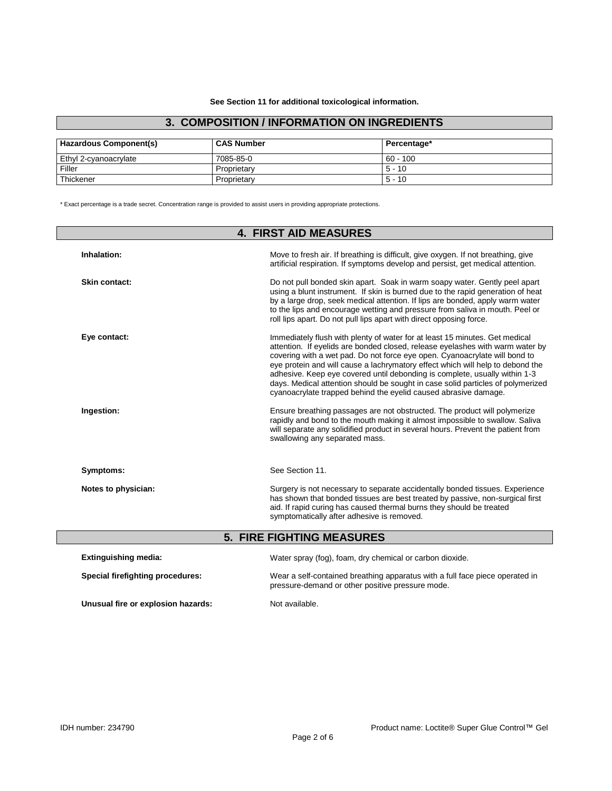**See Section 11 for additional toxicological information.**

## **3. COMPOSITION / INFORMATION ON INGREDIENTS**

| Hazardous Component(s) | <b>CAS Number</b> | Percentage* |
|------------------------|-------------------|-------------|
| Ethyl 2-cyanoacrylate  | 7085-85-0         | $60 - 100$  |
| Filler                 | Proprietary       | $5 - 10$    |
| Thickener              | Proprietary       | $5 - 10$    |

\* Exact percentage is a trade secret. Concentration range is provided to assist users in providing appropriate protections.

|                             | <b>4. FIRST AID MEASURES</b>                                                                                                                                                                                                                                                                                                                                                                                                                                                                                                                                     |
|-----------------------------|------------------------------------------------------------------------------------------------------------------------------------------------------------------------------------------------------------------------------------------------------------------------------------------------------------------------------------------------------------------------------------------------------------------------------------------------------------------------------------------------------------------------------------------------------------------|
| Inhalation:                 | Move to fresh air. If breathing is difficult, give oxygen. If not breathing, give<br>artificial respiration. If symptoms develop and persist, get medical attention.                                                                                                                                                                                                                                                                                                                                                                                             |
| <b>Skin contact:</b>        | Do not pull bonded skin apart. Soak in warm soapy water. Gently peel apart<br>using a blunt instrument. If skin is burned due to the rapid generation of heat<br>by a large drop, seek medical attention. If lips are bonded, apply warm water<br>to the lips and encourage wetting and pressure from saliva in mouth. Peel or<br>roll lips apart. Do not pull lips apart with direct opposing force.                                                                                                                                                            |
| Eye contact:                | Immediately flush with plenty of water for at least 15 minutes. Get medical<br>attention. If eyelids are bonded closed, release eyelashes with warm water by<br>covering with a wet pad. Do not force eye open. Cyanoacrylate will bond to<br>eye protein and will cause a lachrymatory effect which will help to debond the<br>adhesive. Keep eye covered until debonding is complete, usually within 1-3<br>days. Medical attention should be sought in case solid particles of polymerized<br>cyanoacrylate trapped behind the eyelid caused abrasive damage. |
| Ingestion:                  | Ensure breathing passages are not obstructed. The product will polymerize<br>rapidly and bond to the mouth making it almost impossible to swallow. Saliva<br>will separate any solidified product in several hours. Prevent the patient from<br>swallowing any separated mass.                                                                                                                                                                                                                                                                                   |
| Symptoms:                   | See Section 11.                                                                                                                                                                                                                                                                                                                                                                                                                                                                                                                                                  |
| Notes to physician:         | Surgery is not necessary to separate accidentally bonded tissues. Experience<br>has shown that bonded tissues are best treated by passive, non-surgical first<br>aid. If rapid curing has caused thermal burns they should be treated<br>symptomatically after adhesive is removed.                                                                                                                                                                                                                                                                              |
|                             | <b>5. FIRE FIGHTING MEASURES</b>                                                                                                                                                                                                                                                                                                                                                                                                                                                                                                                                 |
| <b>Extinguishing media:</b> | Water spray (fog), foam, dry chemical or carbon dioxide.                                                                                                                                                                                                                                                                                                                                                                                                                                                                                                         |

| Extinguishing media:               | Water spray (fog), foam, dry chemical or carbon dioxide.                                                                         |
|------------------------------------|----------------------------------------------------------------------------------------------------------------------------------|
| Special firefighting procedures:   | Wear a self-contained breathing apparatus with a full face piece operated in<br>pressure-demand or other positive pressure mode. |
| Unusual fire or explosion hazards: | Not available.                                                                                                                   |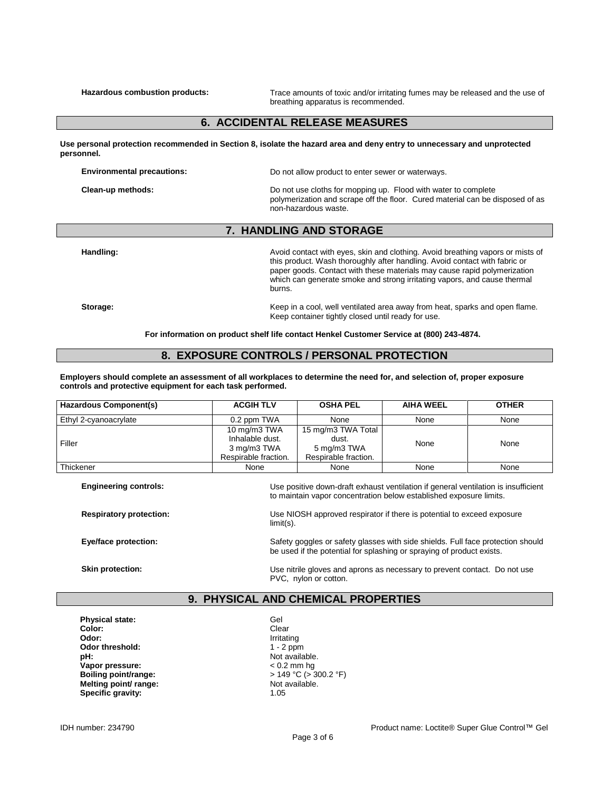**Hazardous combustion products:** Trace amounts of toxic and/or irritating fumes may be released and the use of breathing apparatus is recommended.

#### **6. ACCIDENTAL RELEASE MEASURES**

**Use personal protection recommended in Section 8, isolate the hazard area and deny entry to unnecessary and unprotected personnel.**

|                                   | 7. HANDLING AND STORAGE                                                                                                                                                 |
|-----------------------------------|-------------------------------------------------------------------------------------------------------------------------------------------------------------------------|
| Clean-up methods:                 | Do not use cloths for mopping up. Flood with water to complete<br>polymerization and scrape off the floor. Cured material can be disposed of as<br>non-hazardous waste. |
| <b>Environmental precautions:</b> | Do not allow product to enter sewer or waterways.                                                                                                                       |

**Handling:** Avoid contact with eyes, skin and clothing. Avoid breathing vapors or mists of this product. Wash thoroughly after handling. Avoid contact with fabric or paper goods. Contact with these materials may cause rapid polymerization which can generate smoke and strong irritating vapors, and cause thermal burns.

**Storage: Keep in a cool, well ventilated area away from heat, sparks and open flame.** 

Keep container tightly closed until ready for use.

**For information on product shelf life contact Henkel Customer Service at (800) 243-4874.**

#### **8. EXPOSURE CONTROLS / PERSONAL PROTECTION**

**Employers should complete an assessment of all workplaces to determine the need for, and selection of, proper exposure controls and protective equipment for each task performed.**

| Hazardous Component(s)                                         | <b>ACGIH TLV</b>                                                                                                                                                                                                                                   | <b>OSHA PEL</b>                                                                                    | <b>AIHA WEEL</b> | <b>OTHER</b> |
|----------------------------------------------------------------|----------------------------------------------------------------------------------------------------------------------------------------------------------------------------------------------------------------------------------------------------|----------------------------------------------------------------------------------------------------|------------------|--------------|
| Ethyl 2-cyanoacrylate                                          | 0.2 ppm TWA                                                                                                                                                                                                                                        | None                                                                                               | None             | None         |
| Filler                                                         | 10 mg/m3 TWA<br>Inhalable dust.<br>3 mg/m3 TWA<br>Respirable fraction.                                                                                                                                                                             | 15 mg/m3 TWA Total<br>dust.<br>5 mg/m3 TWA<br>Respirable fraction.                                 | None             | None         |
| Thickener                                                      | None                                                                                                                                                                                                                                               | None                                                                                               | None             | None         |
| <b>Engineering controls:</b><br><b>Respiratory protection:</b> | Use positive down-draft exhaust ventilation if general ventilation is insufficient<br>to maintain vapor concentration below established exposure limits.<br>Use NIOSH approved respirator if there is potential to exceed exposure<br>$limit(s)$ . |                                                                                                    |                  |              |
| <b>Eye/face protection:</b>                                    | Safety goggles or safety glasses with side shields. Full face protection should<br>be used if the potential for splashing or spraying of product exists.                                                                                           |                                                                                                    |                  |              |
| Skin protection:                                               |                                                                                                                                                                                                                                                    | Use nitrile gloves and aprons as necessary to prevent contact. Do not use<br>PVC, nylon or cotton. |                  |              |

## **9. PHYSICAL AND CHEMICAL PROPERTIES**

**Physical state:** Gel **Color:** Gel **Color:** Gel **Clear Color:** Clear **Odor:** Irritating **Odor threshold:** 1 - 2 ppm<br> **pH:** Not availa Vapor pressure:<br>Boiling point/range: **Melting point/ range: Specific gravity:** 1.05

Not available.<br>
< 0.2 mm hg **boiling Point Point Point Point Point Point Point Point Point Point Point Point Point Point Point Point Point Point Point Point Point Point Point Point Point Point Point Point Point Point Point Point Point Point Point Poi**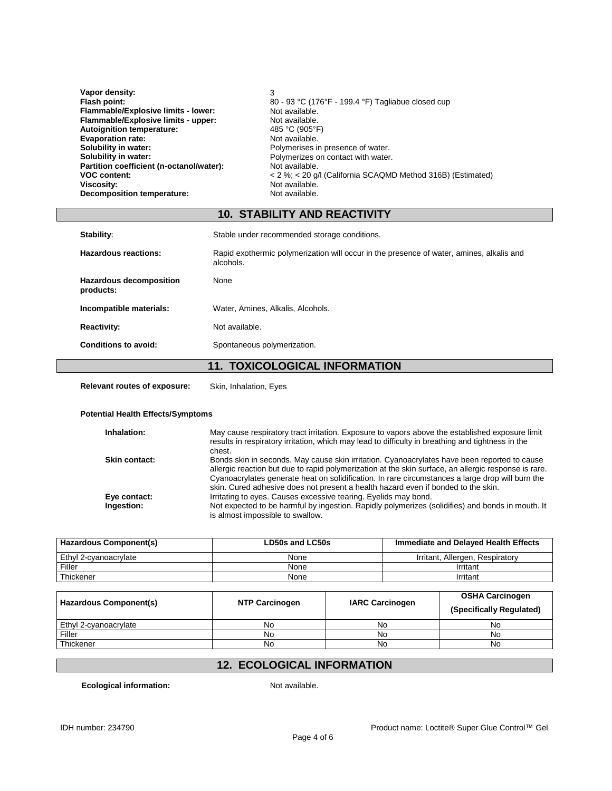| Vapor density:                           | 3                                                           |
|------------------------------------------|-------------------------------------------------------------|
| Flash point:                             | 80 - 93 °C (176°F - 199.4 °F) Tagliabue closed cup          |
| Flammable/Explosive limits - lower:      | Not available.                                              |
| Flammable/Explosive limits - upper:      | Not available.                                              |
| Autoignition temperature:                | 485 °C (905°F)                                              |
| <b>Evaporation rate:</b>                 | Not available.                                              |
| Solubility in water:                     | Polymerises in presence of water.                           |
| Solubility in water:                     | Polymerizes on contact with water.                          |
| Partition coefficient (n-octanol/water): | Not available.                                              |
| <b>VOC content:</b>                      | < 2 %; < 20 g/l (California SCAQMD Method 316B) (Estimated) |
| Viscosity:                               | Not available.                                              |
| <b>Decomposition temperature:</b>        | Not available.                                              |

## **10. STABILITY AND REACTIVITY**

| Stability:                                  | Stable under recommended storage conditions.                                                          |  |
|---------------------------------------------|-------------------------------------------------------------------------------------------------------|--|
| Hazardous reactions:                        | Rapid exothermic polymerization will occur in the presence of water, amines, alkalis and<br>alcohols. |  |
| <b>Hazardous decomposition</b><br>products: | None                                                                                                  |  |
| Incompatible materials:                     | Water, Amines, Alkalis, Alcohols,                                                                     |  |
| <b>Reactivity:</b>                          | Not available.                                                                                        |  |
| Conditions to avoid:                        | Spontaneous polymerization.                                                                           |  |
| <b>TOYICOLOGICAL INFORMATION</b><br>11      |                                                                                                       |  |

#### **11. TOXICOLOGICAL INFORMATION**

**Relevant routes of exposure:** Skin, Inhalation, Eyes

#### **Potential Health Effects/Symptoms**

| Inhalation:   | May cause respiratory tract irritation. Exposure to vapors above the established exposure limit<br>results in respiratory irritation, which may lead to difficulty in breathing and tightness in the<br>chest.                                                                                                                                                                                |
|---------------|-----------------------------------------------------------------------------------------------------------------------------------------------------------------------------------------------------------------------------------------------------------------------------------------------------------------------------------------------------------------------------------------------|
| Skin contact: | Bonds skin in seconds. May cause skin irritation. Cyanoacrylates have been reported to cause<br>allergic reaction but due to rapid polymerization at the skin surface, an allergic response is rare.<br>Cyanoacrylates generate heat on solidification. In rare circumstances a large drop will burn the<br>skin. Cured adhesive does not present a health hazard even if bonded to the skin. |
| Eye contact:  | Irritating to eyes. Causes excessive tearing. Eyelids may bond.                                                                                                                                                                                                                                                                                                                               |
| Ingestion:    | Not expected to be harmful by ingestion. Rapidly polymerizes (solidifies) and bonds in mouth. It<br>is almost impossible to swallow.                                                                                                                                                                                                                                                          |

| <b>Hazardous Component(s)</b> | LD50s and LC50s | Immediate and Delayed Health Effects |
|-------------------------------|-----------------|--------------------------------------|
| Ethyl 2-cvanoacrylate         | None            | Irritant, Allergen, Respiratory      |
| Filler                        | None            | Irritant                             |
| Thickener                     | None            | Irritant                             |

| <b>Hazardous Component(s)</b> | <b>NTP Carcinogen</b> | <b>IARC Carcinogen</b> | <b>OSHA Carcinogen</b><br>(Specifically Regulated) |
|-------------------------------|-----------------------|------------------------|----------------------------------------------------|
| Ethyl 2-cyanoacrylate         | No                    | No                     | No                                                 |
| Filler                        | No                    | No                     | No                                                 |
| Thickener                     | No                    | No                     | No                                                 |

## **12. ECOLOGICAL INFORMATION**

**Ecological information:** Not available.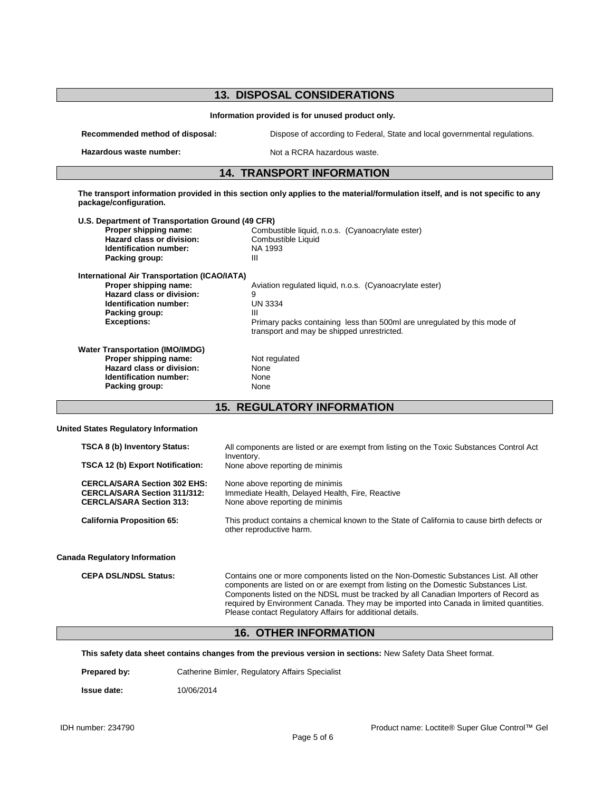| Recommended method of disposal:<br>Hazardous waste number: | Information provided is for unused product only.<br>Dispose of according to Federal, State and local governmental regulations. |  |
|------------------------------------------------------------|--------------------------------------------------------------------------------------------------------------------------------|--|
|                                                            |                                                                                                                                |  |
|                                                            |                                                                                                                                |  |
|                                                            | Not a RCRA hazardous waste.                                                                                                    |  |
|                                                            | <b>14. TRANSPORT INFORMATION</b>                                                                                               |  |
| package/configuration.                                     | The transport information provided in this section only applies to the material/formulation itself, and is not specific to any |  |
| U.S. Department of Transportation Ground (49 CFR)          |                                                                                                                                |  |
| Proper shipping name:                                      | Combustible liquid, n.o.s. (Cyanoacrylate ester)                                                                               |  |
| Hazard class or division:<br>Identification number:        | Combustible Liquid                                                                                                             |  |
| Packing group:                                             | NA 1993<br>Ш                                                                                                                   |  |
|                                                            |                                                                                                                                |  |
| <b>International Air Transportation (ICAO/IATA)</b>        |                                                                                                                                |  |
| Proper shipping name:                                      | Aviation regulated liquid, n.o.s. (Cyanoacrylate ester)                                                                        |  |
| Hazard class or division:                                  | 9                                                                                                                              |  |
| Identification number:                                     | <b>UN 3334</b>                                                                                                                 |  |
| Packing group:                                             | Ш                                                                                                                              |  |
| <b>Exceptions:</b>                                         | Primary packs containing less than 500ml are unregulated by this mode of<br>transport and may be shipped unrestricted.         |  |
|                                                            |                                                                                                                                |  |
| <b>Water Transportation (IMO/IMDG)</b>                     |                                                                                                                                |  |
| Proper shipping name:                                      | Not regulated                                                                                                                  |  |
| Hazard class or division:                                  | None                                                                                                                           |  |
| Identification number:                                     | None                                                                                                                           |  |
| Packing group:                                             | None                                                                                                                           |  |
|                                                            | <b>15. REGULATORY INFORMATION</b>                                                                                              |  |
|                                                            |                                                                                                                                |  |

| <b>TSCA 8 (b) Inventory Status:</b><br>TSCA 12 (b) Export Notification:                                       | All components are listed or are exempt from listing on the Toxic Substances Control Act<br>Inventory.<br>None above reporting de minimis                                                                                                                                                                                                                        |
|---------------------------------------------------------------------------------------------------------------|------------------------------------------------------------------------------------------------------------------------------------------------------------------------------------------------------------------------------------------------------------------------------------------------------------------------------------------------------------------|
| <b>CERCLA/SARA Section 302 EHS:</b><br><b>CERCLA/SARA Section 311/312:</b><br><b>CERCLA/SARA Section 313:</b> | None above reporting de minimis<br>Immediate Health, Delayed Health, Fire, Reactive<br>None above reporting de minimis                                                                                                                                                                                                                                           |
| <b>California Proposition 65:</b>                                                                             | This product contains a chemical known to the State of California to cause birth defects or<br>other reproductive harm.                                                                                                                                                                                                                                          |
| <b>Canada Regulatory Information</b>                                                                          |                                                                                                                                                                                                                                                                                                                                                                  |
| <b>CEPA DSL/NDSL Status:</b>                                                                                  | Contains one or more components listed on the Non-Domestic Substances List. All other<br>components are listed on or are exempt from listing on the Domestic Substances List.<br>Components listed on the NDSL must be tracked by all Canadian Importers of Record as<br>required by Environment Canada. They may be imported into Canada in limited quantities. |

# **16. OTHER INFORMATION**

Please contact Regulatory Affairs for additional details.

**This safety data sheet contains changes from the previous version in sections:** New Safety Data Sheet format.

- Prepared by: Catherine Bimler, Regulatory Affairs Specialist
- **Issue date:** 10/06/2014